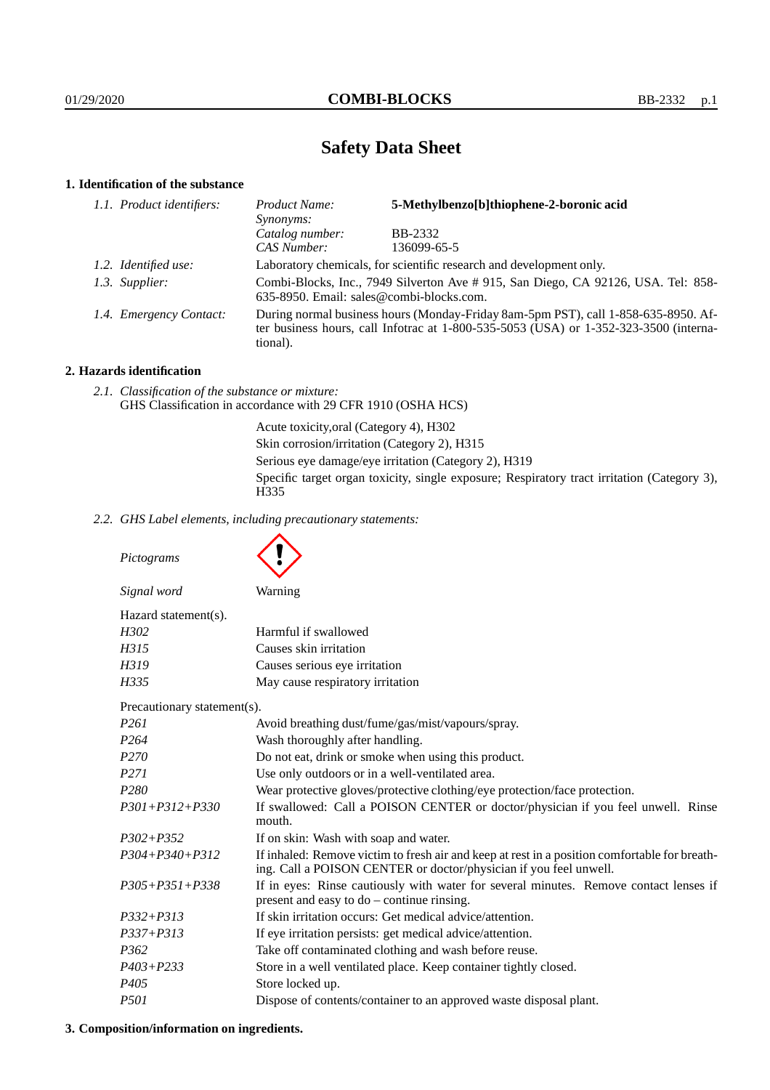# **Safety Data Sheet**

# **1. Identification of the substance**

| 1.1. Product identifiers: | 5-Methylbenzo[b]thiophene-2-boronic acid<br>Product Name:<br>Synonyms:                                                                                                                  |                |  |
|---------------------------|-----------------------------------------------------------------------------------------------------------------------------------------------------------------------------------------|----------------|--|
|                           | Catalog number:                                                                                                                                                                         | <b>BB-2332</b> |  |
|                           | CAS Number:                                                                                                                                                                             | 136099-65-5    |  |
| 1.2. Identified use:      | Laboratory chemicals, for scientific research and development only.                                                                                                                     |                |  |
| 1.3. Supplier:            | Combi-Blocks, Inc., 7949 Silverton Ave # 915, San Diego, CA 92126, USA. Tel: 858-<br>635-8950. Email: sales@combi-blocks.com.                                                           |                |  |
| 1.4. Emergency Contact:   | During normal business hours (Monday-Friday 8am-5pm PST), call 1-858-635-8950. Af-<br>ter business hours, call Infotrac at 1-800-535-5053 (USA) or 1-352-323-3500 (interna-<br>tional). |                |  |

# **2. Hazards identification**

*2.1. Classification of the substance or mixture:* GHS Classification in accordance with 29 CFR 1910 (OSHA HCS)

> Acute toxicity,oral (Category 4), H302 Skin corrosion/irritation (Category 2), H315 Serious eye damage/eye irritation (Category 2), H319 Specific target organ toxicity, single exposure; Respiratory tract irritation (Category 3), H<sub>335</sub>

*2.2. GHS Label elements, including precautionary statements:*

*Pictograms Signal word* Warning Hazard statement(s). *H302* Harmful if swallowed *H315* Causes skin irritation *H319* Causes serious eye irritation *H335* May cause respiratory irritation Precautionary statement(s). *P261* Avoid breathing dust/fume/gas/mist/vapours/spray. *P264* Wash thoroughly after handling. *P270* Do not eat, drink or smoke when using this product. *P271* Use only outdoors or in a well-ventilated area. *P280* Wear protective gloves/protective clothing/eye protection/face protection. *P301+P312+P330* If swallowed: Call a POISON CENTER or doctor/physician if you feel unwell. Rinse mouth. *P302+P352* If on skin: Wash with soap and water. *P304+P340+P312* If inhaled: Remove victim to fresh air and keep at rest in a position comfortable for breathing. Call a POISON CENTER or doctor/physician if you feel unwell. *P305+P351+P338* If in eyes: Rinse cautiously with water for several minutes. Remove contact lenses if present and easy to do – continue rinsing. *P332+P313* If skin irritation occurs: Get medical advice/attention. *P337+P313* If eye irritation persists: get medical advice/attention. *P362* Take off contaminated clothing and wash before reuse. *P403+P233* Store in a well ventilated place. Keep container tightly closed. *P405* Store locked up. *P501* Dispose of contents/container to an approved waste disposal plant.

# **3. Composition/information on ingredients.**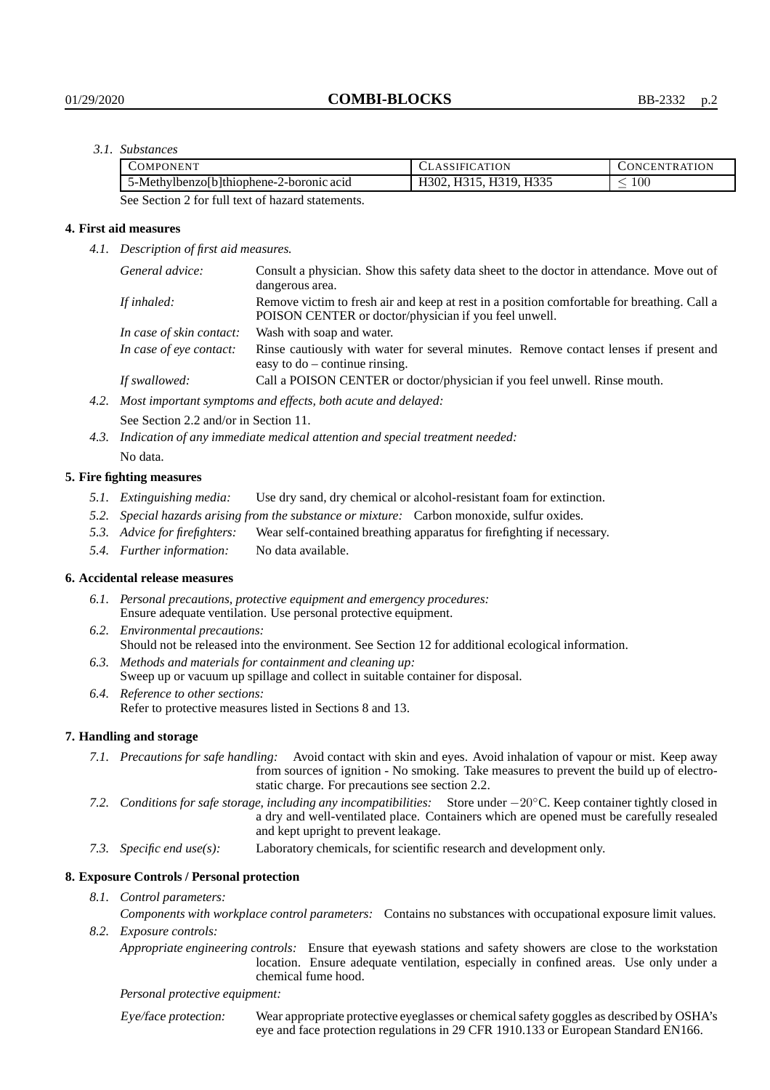## *3.1. Substances*

| COMPONENT                                   | CLASSIFICATION                       | <b>CONCENTRATION</b> |
|---------------------------------------------|--------------------------------------|----------------------|
| 5-Methylbenzol b   thiophene-2-boronic acid | 15. H319. H335<br>$1302.$ F<br>.<br> | $100\,$              |

See Section 2 for full text of hazard statements.

### **4. First aid measures**

*4.1. Description of first aid measures.*

| General advice:          | Consult a physician. Show this safety data sheet to the doctor in attendance. Move out of<br>dangerous area.                                         |
|--------------------------|------------------------------------------------------------------------------------------------------------------------------------------------------|
| If inhaled:              | Remove victim to fresh air and keep at rest in a position comfortable for breathing. Call a<br>POISON CENTER or doctor/physician if you feel unwell. |
| In case of skin contact: | Wash with soap and water.                                                                                                                            |
| In case of eye contact:  | Rinse cautiously with water for several minutes. Remove contact lenses if present and<br>easy to $do$ – continue rinsing.                            |
| If swallowed:            | Call a POISON CENTER or doctor/physician if you feel unwell. Rinse mouth.                                                                            |
|                          | Most important guardouse and effects leath gouts and delayed.                                                                                        |

*4.2. Most important symptoms and effects, both acute and delayed:*

See Section 2.2 and/or in Section 11.

*4.3. Indication of any immediate medical attention and special treatment needed:* No data.

#### **5. Fire fighting measures**

- *5.1. Extinguishing media:* Use dry sand, dry chemical or alcohol-resistant foam for extinction.
- *5.2. Special hazards arising from the substance or mixture:* Carbon monoxide, sulfur oxides.
- *5.3. Advice for firefighters:* Wear self-contained breathing apparatus for firefighting if necessary.
- *5.4. Further information:* No data available.

### **6. Accidental release measures**

- *6.1. Personal precautions, protective equipment and emergency procedures:* Ensure adequate ventilation. Use personal protective equipment.
- *6.2. Environmental precautions:* Should not be released into the environment. See Section 12 for additional ecological information.
- *6.3. Methods and materials for containment and cleaning up:* Sweep up or vacuum up spillage and collect in suitable container for disposal.
- *6.4. Reference to other sections:* Refer to protective measures listed in Sections 8 and 13.

### **7. Handling and storage**

- *7.1. Precautions for safe handling:* Avoid contact with skin and eyes. Avoid inhalation of vapour or mist. Keep away from sources of ignition - No smoking. Take measures to prevent the build up of electrostatic charge. For precautions see section 2.2.
- *7.2. Conditions for safe storage, including any incompatibilities:* Store under −20◦C. Keep container tightly closed in a dry and well-ventilated place. Containers which are opened must be carefully resealed and kept upright to prevent leakage.
- *7.3. Specific end use(s):* Laboratory chemicals, for scientific research and development only.

### **8. Exposure Controls / Personal protection**

*8.1. Control parameters:*

*Components with workplace control parameters:* Contains no substances with occupational exposure limit values. *8.2. Exposure controls:*

*Appropriate engineering controls:* Ensure that eyewash stations and safety showers are close to the workstation location. Ensure adequate ventilation, especially in confined areas. Use only under a chemical fume hood.

#### *Personal protective equipment:*

Eye/face protection: Wear appropriate protective eyeglasses or chemical safety goggles as described by OSHA's eye and face protection regulations in 29 CFR 1910.133 or European Standard EN166.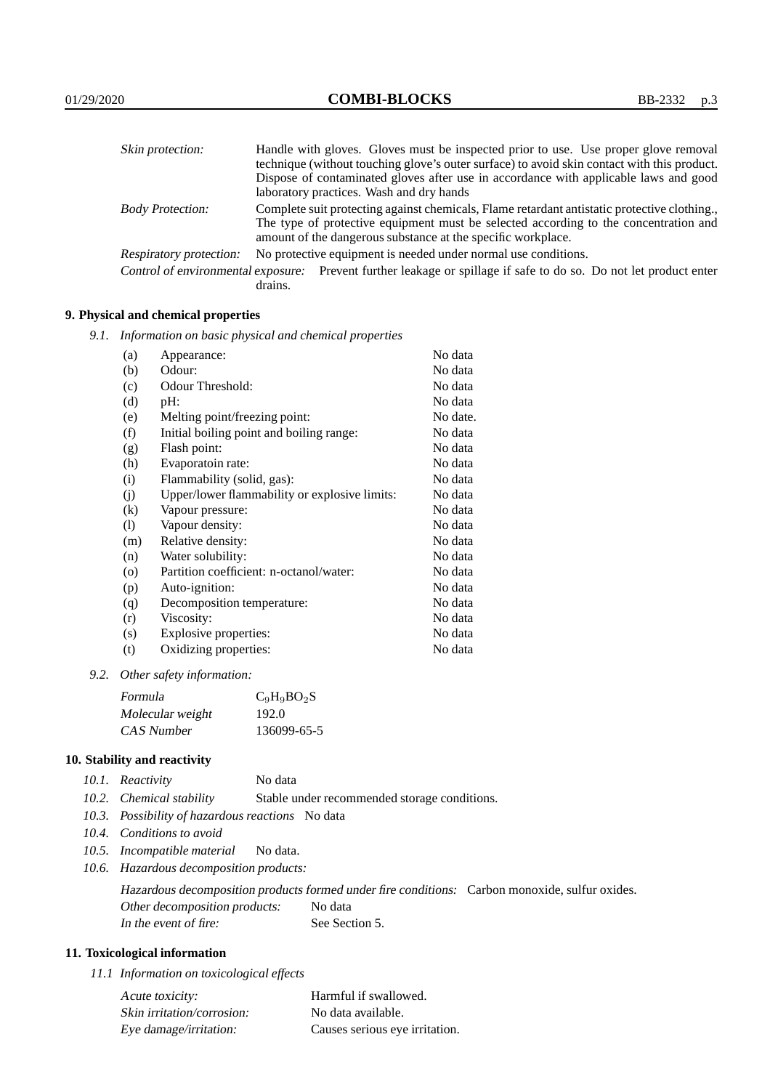| Skin protection:                   | Handle with gloves. Gloves must be inspected prior to use. Use proper glove removal<br>technique (without touching glove's outer surface) to avoid skin contact with this product.                                                                   |  |  |
|------------------------------------|------------------------------------------------------------------------------------------------------------------------------------------------------------------------------------------------------------------------------------------------------|--|--|
|                                    | Dispose of contaminated gloves after use in accordance with applicable laws and good<br>laboratory practices. Wash and dry hands                                                                                                                     |  |  |
| <b>Body Protection:</b>            | Complete suit protecting against chemicals, Flame retardant antistatic protective clothing.,<br>The type of protective equipment must be selected according to the concentration and<br>amount of the dangerous substance at the specific workplace. |  |  |
| <b>Respiratory protection:</b>     | No protective equipment is needed under normal use conditions.                                                                                                                                                                                       |  |  |
| Control of environmental exposure: | Prevent further leakage or spillage if safe to do so. Do not let product enter<br>drains.                                                                                                                                                            |  |  |

# **9. Physical and chemical properties**

*9.1. Information on basic physical and chemical properties*

| (a)                | Appearance:                                   | No data  |
|--------------------|-----------------------------------------------|----------|
| (b)                | Odour:                                        | No data  |
| (c)                | Odour Threshold:                              | No data  |
| (d)                | pH:                                           | No data  |
| (e)                | Melting point/freezing point:                 | No date. |
| (f)                | Initial boiling point and boiling range:      | No data  |
| (g)                | Flash point:                                  | No data  |
| (h)                | Evaporatoin rate:                             | No data  |
| (i)                | Flammability (solid, gas):                    | No data  |
| (j)                | Upper/lower flammability or explosive limits: | No data  |
| $\rm(k)$           | Vapour pressure:                              | No data  |
| (1)                | Vapour density:                               | No data  |
| (m)                | Relative density:                             | No data  |
| (n)                | Water solubility:                             | No data  |
| $\left( 0 \right)$ | Partition coefficient: n-octanol/water:       | No data  |
| (p)                | Auto-ignition:                                | No data  |
| (q)                | Decomposition temperature:                    | No data  |
| (r)                | Viscosity:                                    | No data  |
| (s)                | Explosive properties:                         | No data  |
| (t)                | Oxidizing properties:                         | No data  |

*9.2. Other safety information:*

| Formula          | $C_9H_9BO_2S$ |
|------------------|---------------|
| Molecular weight | 192.0         |
| CAS Number       | 136099-65-5   |

# **10. Stability and reactivity**

|  | 10.1. Reactivity | No data |
|--|------------------|---------|
|--|------------------|---------|

- *10.2. Chemical stability* Stable under recommended storage conditions.
- *10.3. Possibility of hazardous reactions* No data
- *10.4. Conditions to avoid*
- *10.5. Incompatible material* No data.
- *10.6. Hazardous decomposition products:*

Hazardous decomposition products formed under fire conditions: Carbon monoxide, sulfur oxides. Other decomposition products: No data In the event of fire: See Section 5.

# **11. Toxicological information**

*11.1 Information on toxicological effects*

| Acute toxicity:            | Harmful if swallowed.          |
|----------------------------|--------------------------------|
| Skin irritation/corrosion: | No data available.             |
| Eye damage/irritation:     | Causes serious eye irritation. |